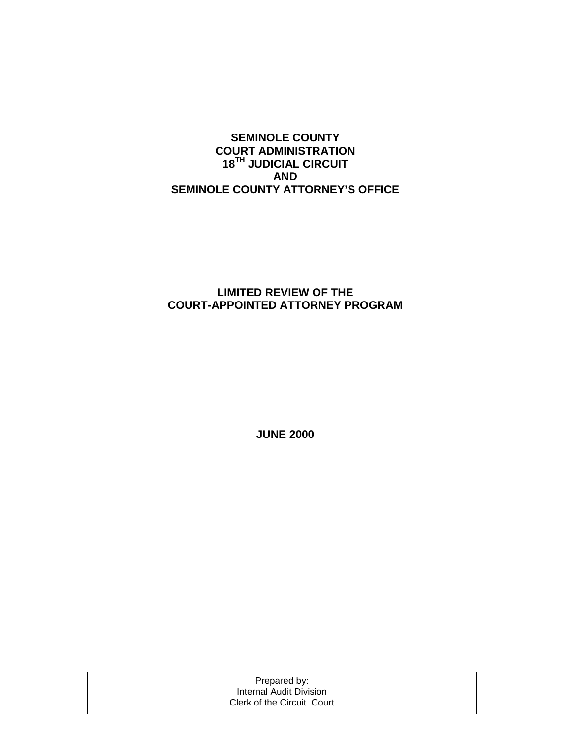#### **SEMINOLE COUNTY COURT ADMINISTRATION 18TH JUDICIAL CIRCUIT AND SEMINOLE COUNTY ATTORNEY'S OFFICE**

#### **LIMITED REVIEW OF THE COURT-APPOINTED ATTORNEY PROGRAM**

**JUNE 2000** 

Prepared by: Internal Audit Division Clerk of the Circuit Court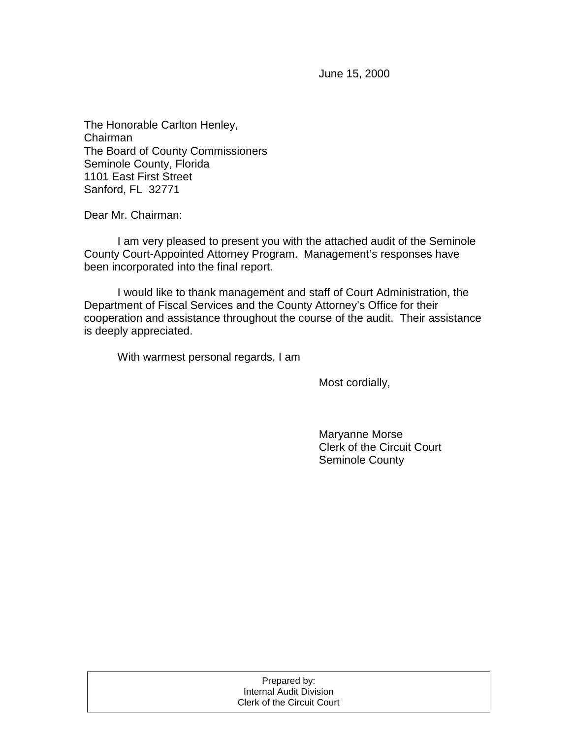June 15, 2000

The Honorable Carlton Henley, Chairman The Board of County Commissioners Seminole County, Florida 1101 East First Street Sanford, FL 32771

Dear Mr. Chairman:

 I am very pleased to present you with the attached audit of the Seminole County Court-Appointed Attorney Program. Management's responses have been incorporated into the final report.

 I would like to thank management and staff of Court Administration, the Department of Fiscal Services and the County Attorney's Office for their cooperation and assistance throughout the course of the audit. Their assistance is deeply appreciated.

With warmest personal regards, I am

Most cordially,

 Maryanne Morse Clerk of the Circuit Court Seminole County

| Prepared by:               |  |
|----------------------------|--|
| Internal Audit Division    |  |
| Clerk of the Circuit Court |  |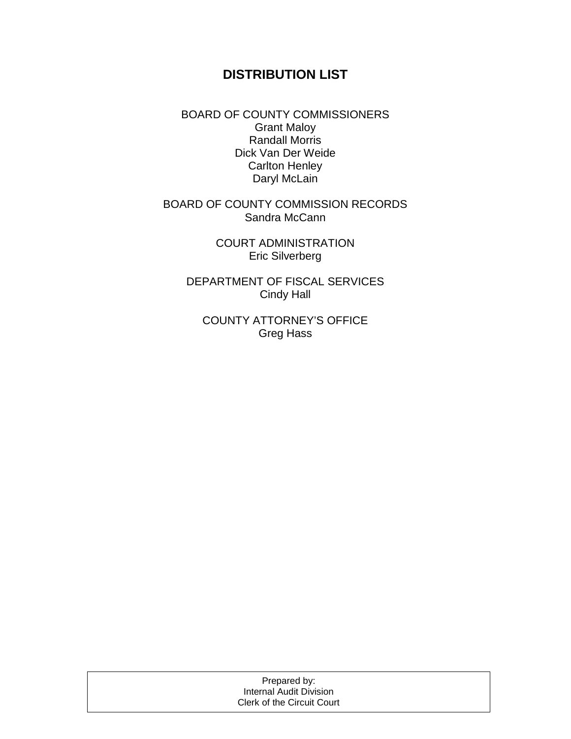# **DISTRIBUTION LIST**

BOARD OF COUNTY COMMISSIONERS Grant Maloy Randall Morris Dick Van Der Weide Carlton Henley Daryl McLain

BOARD OF COUNTY COMMISSION RECORDS Sandra McCann

> COURT ADMINISTRATION Eric Silverberg

DEPARTMENT OF FISCAL SERVICES Cindy Hall

COUNTY ATTORNEY'S OFFICE Greg Hass

| Prepared by:               |  |
|----------------------------|--|
| Internal Audit Division    |  |
| Clerk of the Circuit Court |  |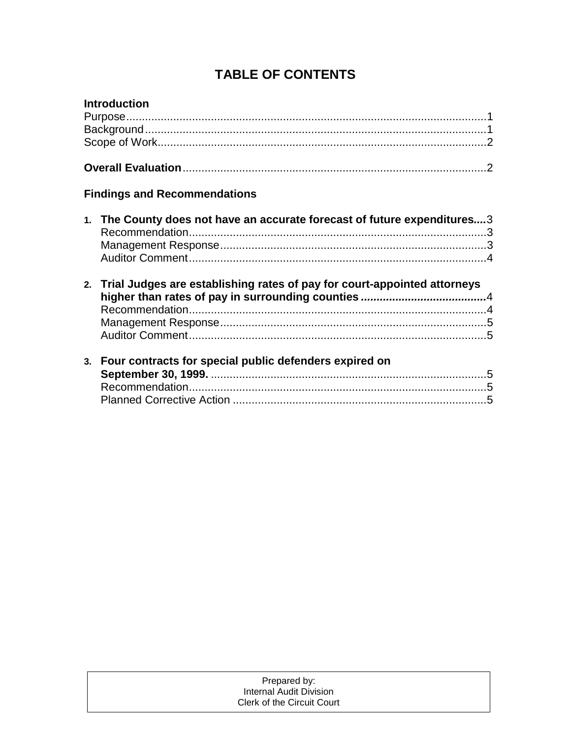# **TABLE OF CONTENTS**

| <b>Introduction</b>                                                         |  |
|-----------------------------------------------------------------------------|--|
|                                                                             |  |
|                                                                             |  |
|                                                                             |  |
|                                                                             |  |
| <b>Findings and Recommendations</b>                                         |  |
| 1. The County does not have an accurate forecast of future expenditures3    |  |
| 2. Trial Judges are establishing rates of pay for court-appointed attorneys |  |
| 3. Four contracts for special public defenders expired on                   |  |

| Prepared by:               |  |
|----------------------------|--|
| Internal Audit Division    |  |
| Clerk of the Circuit Court |  |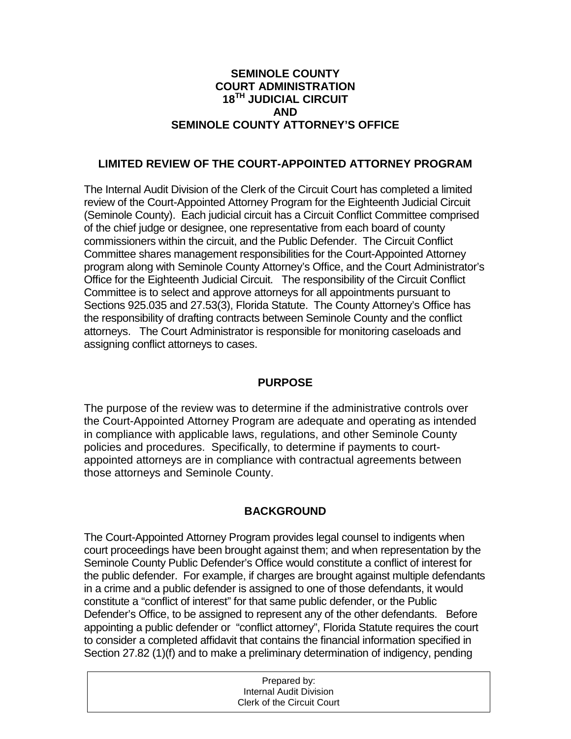#### **SEMINOLE COUNTY COURT ADMINISTRATION 18TH JUDICIAL CIRCUIT AND SEMINOLE COUNTY ATTORNEY'S OFFICE**

#### **LIMITED REVIEW OF THE COURT-APPOINTED ATTORNEY PROGRAM**

The Internal Audit Division of the Clerk of the Circuit Court has completed a limited review of the Court-Appointed Attorney Program for the Eighteenth Judicial Circuit (Seminole County). Each judicial circuit has a Circuit Conflict Committee comprised of the chief judge or designee, one representative from each board of county commissioners within the circuit, and the Public Defender. The Circuit Conflict Committee shares management responsibilities for the Court-Appointed Attorney program along with Seminole County Attorney's Office, and the Court Administrator's Office for the Eighteenth Judicial Circuit. The responsibility of the Circuit Conflict Committee is to select and approve attorneys for all appointments pursuant to Sections 925.035 and 27.53(3), Florida Statute. The County Attorney's Office has the responsibility of drafting contracts between Seminole County and the conflict attorneys. The Court Administrator is responsible for monitoring caseloads and assigning conflict attorneys to cases.

#### **PURPOSE**

The purpose of the review was to determine if the administrative controls over the Court-Appointed Attorney Program are adequate and operating as intended in compliance with applicable laws, regulations, and other Seminole County policies and procedures. Specifically, to determine if payments to courtappointed attorneys are in compliance with contractual agreements between those attorneys and Seminole County.

### **BACKGROUND**

The Court-Appointed Attorney Program provides legal counsel to indigents when court proceedings have been brought against them; and when representation by the Seminole County Public Defender's Office would constitute a conflict of interest for the public defender. For example, if charges are brought against multiple defendants in a crime and a public defender is assigned to one of those defendants, it would constitute a "conflict of interest" for that same public defender, or the Public Defender's Office, to be assigned to represent any of the other defendants. Before appointing a public defender or "conflict attorney", Florida Statute requires the court to consider a completed affidavit that contains the financial information specified in Section 27.82 (1)(f) and to make a preliminary determination of indigency, pending

| Prepared by:               |  |
|----------------------------|--|
| Internal Audit Division    |  |
| Clerk of the Circuit Court |  |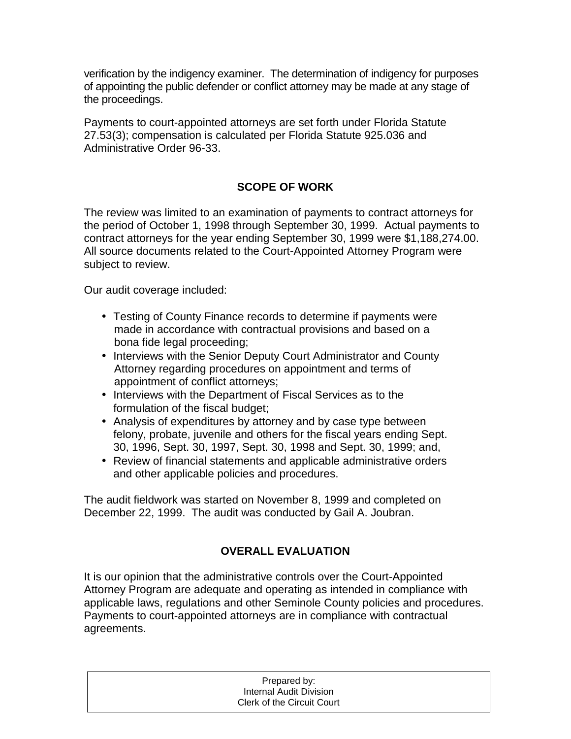verification by the indigency examiner. The determination of indigency for purposes of appointing the public defender or conflict attorney may be made at any stage of the proceedings.

Payments to court-appointed attorneys are set forth under Florida Statute 27.53(3); compensation is calculated per Florida Statute 925.036 and Administrative Order 96-33.

## **SCOPE OF WORK**

The review was limited to an examination of payments to contract attorneys for the period of October 1, 1998 through September 30, 1999. Actual payments to contract attorneys for the year ending September 30, 1999 were \$1,188,274.00. All source documents related to the Court-Appointed Attorney Program were subject to review.

Our audit coverage included:

- Testing of County Finance records to determine if payments were made in accordance with contractual provisions and based on a bona fide legal proceeding;
- Interviews with the Senior Deputy Court Administrator and County Attorney regarding procedures on appointment and terms of appointment of conflict attorneys;
- Interviews with the Department of Fiscal Services as to the formulation of the fiscal budget;
- Analysis of expenditures by attorney and by case type between felony, probate, juvenile and others for the fiscal years ending Sept. 30, 1996, Sept. 30, 1997, Sept. 30, 1998 and Sept. 30, 1999; and,
- Review of financial statements and applicable administrative orders and other applicable policies and procedures.

The audit fieldwork was started on November 8, 1999 and completed on December 22, 1999. The audit was conducted by Gail A. Joubran.

## **OVERALL EVALUATION**

It is our opinion that the administrative controls over the Court-Appointed Attorney Program are adequate and operating as intended in compliance with applicable laws, regulations and other Seminole County policies and procedures. Payments to court-appointed attorneys are in compliance with contractual agreements.

| Prepared by:               |  |
|----------------------------|--|
| Internal Audit Division    |  |
| Clerk of the Circuit Court |  |
|                            |  |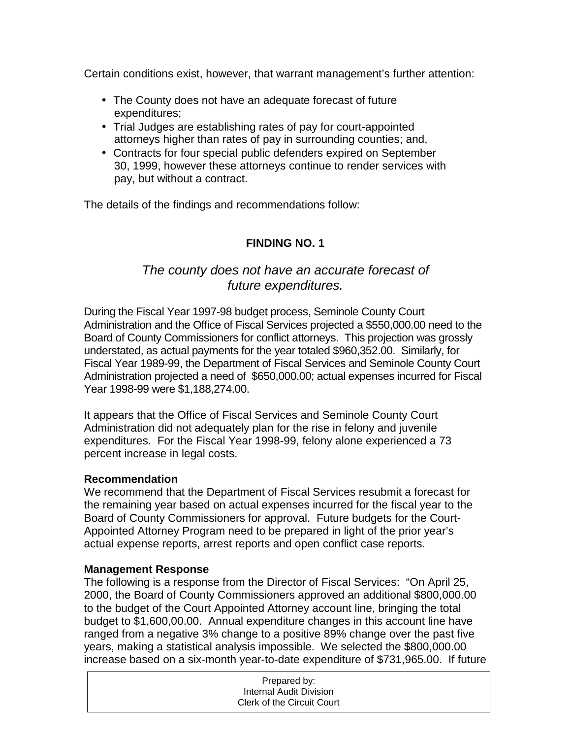Certain conditions exist, however, that warrant management's further attention:

- The County does not have an adequate forecast of future expenditures;
- Trial Judges are establishing rates of pay for court-appointed attorneys higher than rates of pay in surrounding counties; and,
- Contracts for four special public defenders expired on September 30, 1999, however these attorneys continue to render services with pay, but without a contract.

The details of the findings and recommendations follow:

### **FINDING NO. 1**

# *The county does not have an accurate forecast of future expenditures.*

During the Fiscal Year 1997-98 budget process, Seminole County Court Administration and the Office of Fiscal Services projected a \$550,000.00 need to the Board of County Commissioners for conflict attorneys. This projection was grossly understated, as actual payments for the year totaled \$960,352.00. Similarly, for Fiscal Year 1989-99, the Department of Fiscal Services and Seminole County Court Administration projected a need of \$650,000.00; actual expenses incurred for Fiscal Year 1998-99 were \$1,188,274.00.

It appears that the Office of Fiscal Services and Seminole County Court Administration did not adequately plan for the rise in felony and juvenile expenditures. For the Fiscal Year 1998-99, felony alone experienced a 73 percent increase in legal costs.

#### **Recommendation**

We recommend that the Department of Fiscal Services resubmit a forecast for the remaining year based on actual expenses incurred for the fiscal year to the Board of County Commissioners for approval. Future budgets for the Court-Appointed Attorney Program need to be prepared in light of the prior year's actual expense reports, arrest reports and open conflict case reports.

#### **Management Response**

The following is a response from the Director of Fiscal Services: "On April 25, 2000, the Board of County Commissioners approved an additional \$800,000.00 to the budget of the Court Appointed Attorney account line, bringing the total budget to \$1,600,00.00. Annual expenditure changes in this account line have ranged from a negative 3% change to a positive 89% change over the past five years, making a statistical analysis impossible. We selected the \$800,000.00 increase based on a six-month year-to-date expenditure of \$731,965.00. If future

| Prepared by:               |  |
|----------------------------|--|
| Internal Audit Division    |  |
| Clerk of the Circuit Court |  |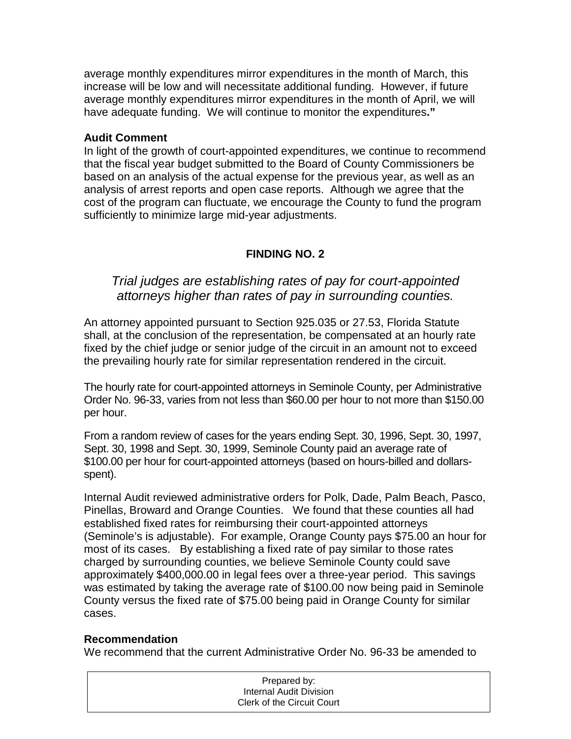average monthly expenditures mirror expenditures in the month of March, this increase will be low and will necessitate additional funding. However, if future average monthly expenditures mirror expenditures in the month of April, we will have adequate funding. We will continue to monitor the expenditures**."** 

#### **Audit Comment**

In light of the growth of court-appointed expenditures, we continue to recommend that the fiscal year budget submitted to the Board of County Commissioners be based on an analysis of the actual expense for the previous year, as well as an analysis of arrest reports and open case reports. Although we agree that the cost of the program can fluctuate, we encourage the County to fund the program sufficiently to minimize large mid-year adjustments.

### **FINDING NO. 2**

## *Trial judges are establishing rates of pay for court-appointed attorneys higher than rates of pay in surrounding counties.*

An attorney appointed pursuant to Section 925.035 or 27.53, Florida Statute shall, at the conclusion of the representation, be compensated at an hourly rate fixed by the chief judge or senior judge of the circuit in an amount not to exceed the prevailing hourly rate for similar representation rendered in the circuit.

The hourly rate for court-appointed attorneys in Seminole County, per Administrative Order No. 96-33, varies from not less than \$60.00 per hour to not more than \$150.00 per hour.

From a random review of cases for the years ending Sept. 30, 1996, Sept. 30, 1997, Sept. 30, 1998 and Sept. 30, 1999, Seminole County paid an average rate of \$100.00 per hour for court-appointed attorneys (based on hours-billed and dollarsspent).

Internal Audit reviewed administrative orders for Polk, Dade, Palm Beach, Pasco, Pinellas, Broward and Orange Counties. We found that these counties all had established fixed rates for reimbursing their court-appointed attorneys (Seminole's is adjustable). For example, Orange County pays \$75.00 an hour for most of its cases. By establishing a fixed rate of pay similar to those rates charged by surrounding counties, we believe Seminole County could save approximately \$400,000.00 in legal fees over a three-year period. This savings was estimated by taking the average rate of \$100.00 now being paid in Seminole County versus the fixed rate of \$75.00 being paid in Orange County for similar cases.

#### **Recommendation**

We recommend that the current Administrative Order No. 96-33 be amended to

| Prepared by:               |  |
|----------------------------|--|
| Internal Audit Division    |  |
| Clerk of the Circuit Court |  |